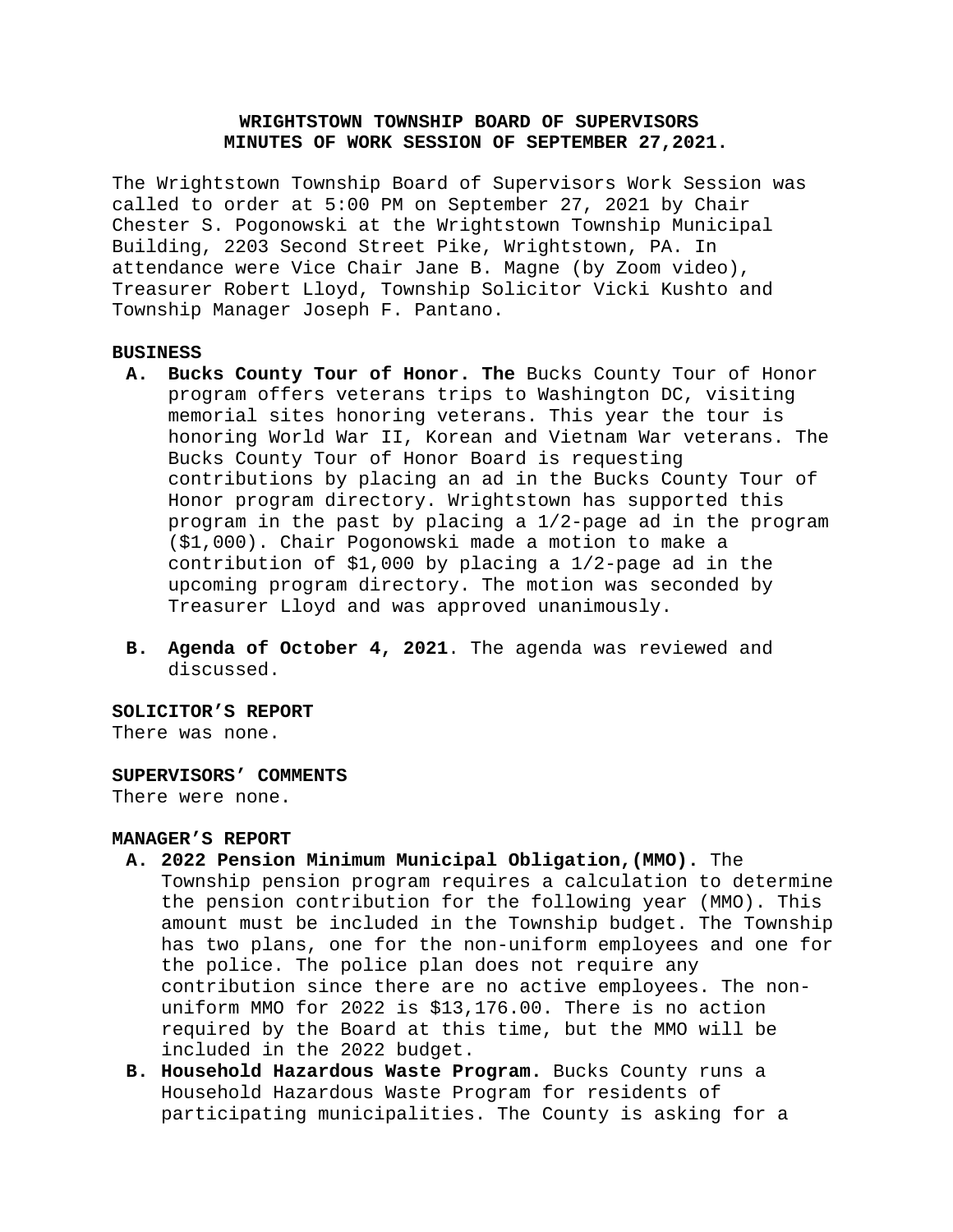# **WRIGHTSTOWN TOWNSHIP BOARD OF SUPERVISORS MINUTES OF WORK SESSION OF SEPTEMBER 27,2021.**

The Wrightstown Township Board of Supervisors Work Session was called to order at 5:00 PM on September 27, 2021 by Chair Chester S. Pogonowski at the Wrightstown Township Municipal Building, 2203 Second Street Pike, Wrightstown, PA. In attendance were Vice Chair Jane B. Magne (by Zoom video), Treasurer Robert Lloyd, Township Solicitor Vicki Kushto and Township Manager Joseph F. Pantano.

# **BUSINESS**

- **A. Bucks County Tour of Honor. The** Bucks County Tour of Honor program offers veterans trips to Washington DC, visiting memorial sites honoring veterans. This year the tour is honoring World War II, Korean and Vietnam War veterans. The Bucks County Tour of Honor Board is requesting contributions by placing an ad in the Bucks County Tour of Honor program directory. Wrightstown has supported this program in the past by placing a 1/2-page ad in the program (\$1,000). Chair Pogonowski made a motion to make a contribution of \$1,000 by placing a 1/2-page ad in the upcoming program directory. The motion was seconded by Treasurer Lloyd and was approved unanimously.
- **B. Agenda of October 4, 2021**. The agenda was reviewed and discussed.

# **SOLICITOR'S REPORT**

There was none.

#### **SUPERVISORS' COMMENTS**

There were none.

### **MANAGER'S REPORT**

- **A. 2022 Pension Minimum Municipal Obligation,(MMO).** The
	- Township pension program requires a calculation to determine the pension contribution for the following year (MMO). This amount must be included in the Township budget. The Township has two plans, one for the non-uniform employees and one for the police. The police plan does not require any contribution since there are no active employees. The nonuniform MMO for 2022 is \$13,176.00. There is no action required by the Board at this time, but the MMO will be included in the 2022 budget.
- **B. Household Hazardous Waste Program.** Bucks County runs a Household Hazardous Waste Program for residents of participating municipalities. The County is asking for a